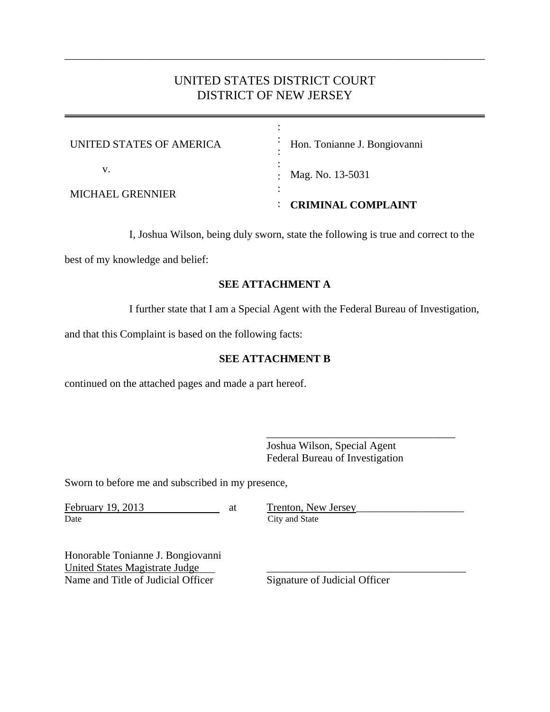# UNITED STATES DISTRICT COURT DISTRICT OF NEW JERSEY

\_\_\_\_\_\_\_\_\_\_\_\_\_\_\_\_\_\_\_\_\_\_\_\_\_\_\_\_\_\_\_\_\_\_\_\_\_\_\_\_\_\_\_\_\_\_\_\_\_\_\_\_\_\_\_\_\_\_\_\_\_\_\_\_\_\_\_\_\_\_\_\_\_\_\_\_\_\_

| UNITED STATES OF AMERICA | Hon. Tonianne J. Bongiovanni |
|--------------------------|------------------------------|
| v.                       | Mag. No. 13-5031             |
| MICHAEL GRENNIER         | <b>CRIMINAL COMPLAINT</b>    |

I, Joshua Wilson, being duly sworn, state the following is true and correct to the

best of my knowledge and belief:

## **SEE ATTACHMENT A**

I further state that I am a Special Agent with the Federal Bureau of Investigation,

and that this Complaint is based on the following facts:

#### **SEE ATTACHMENT B**

continued on the attached pages and made a part hereof.

Joshua Wilson, Special Agent Federal Bureau of Investigation

Sworn to before me and subscribed in my presence,

February 19, 2013 at Trenton, New Jersey\_\_\_\_\_\_\_\_\_\_\_\_\_\_\_\_\_\_\_\_

City and State

\_\_\_\_\_\_\_\_\_\_\_\_\_\_\_\_\_\_\_\_\_\_\_\_\_\_\_\_\_\_\_\_\_\_\_

Honorable Tonianne J. Bongiovanni United States Magistrate Judge<br>
Name and Title of Judicial Officer<br>
Signature of Judicial Officer Name and Title of Judicial Officer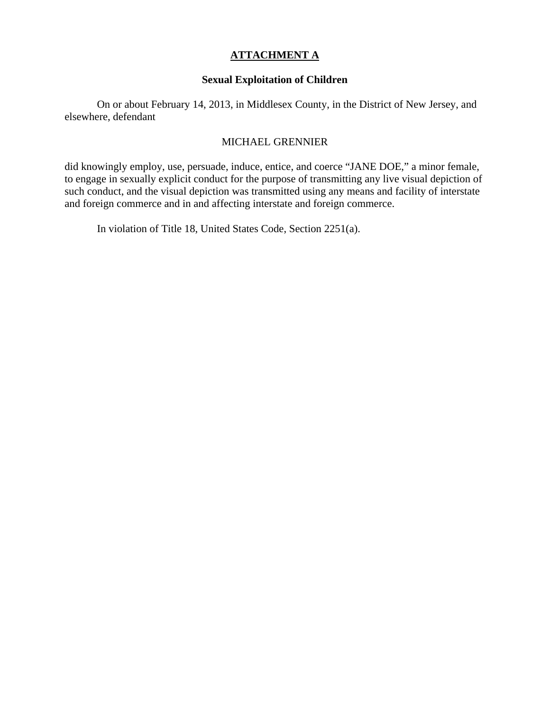### **ATTACHMENT A**

#### **Sexual Exploitation of Children**

 On or about February 14, 2013, in Middlesex County, in the District of New Jersey, and elsewhere, defendant

### MICHAEL GRENNIER

did knowingly employ, use, persuade, induce, entice, and coerce "JANE DOE," a minor female, to engage in sexually explicit conduct for the purpose of transmitting any live visual depiction of such conduct, and the visual depiction was transmitted using any means and facility of interstate and foreign commerce and in and affecting interstate and foreign commerce.

In violation of Title 18, United States Code, Section 2251(a).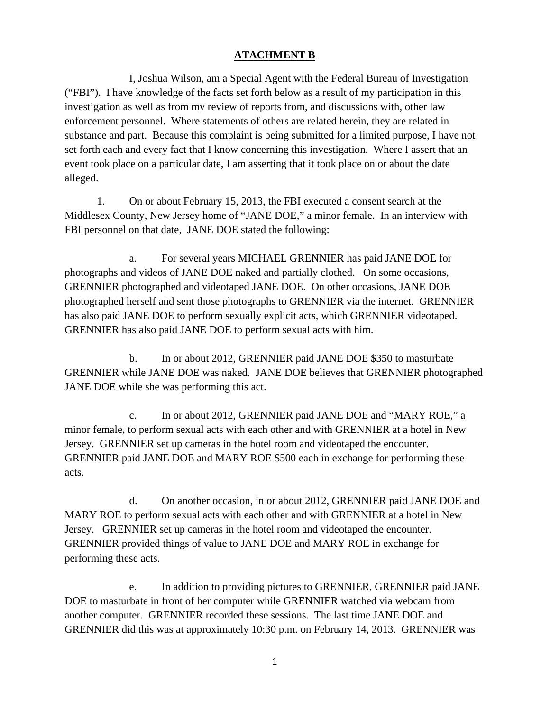# **ATACHMENT B**

 I, Joshua Wilson, am a Special Agent with the Federal Bureau of Investigation ("FBI"). I have knowledge of the facts set forth below as a result of my participation in this investigation as well as from my review of reports from, and discussions with, other law enforcement personnel. Where statements of others are related herein, they are related in substance and part. Because this complaint is being submitted for a limited purpose, I have not set forth each and every fact that I know concerning this investigation. Where I assert that an event took place on a particular date, I am asserting that it took place on or about the date alleged.

1. On or about February 15, 2013, the FBI executed a consent search at the Middlesex County, New Jersey home of "JANE DOE," a minor female. In an interview with FBI personnel on that date, JANE DOE stated the following:

a. For several years MICHAEL GRENNIER has paid JANE DOE for photographs and videos of JANE DOE naked and partially clothed. On some occasions, GRENNIER photographed and videotaped JANE DOE. On other occasions, JANE DOE photographed herself and sent those photographs to GRENNIER via the internet. GRENNIER has also paid JANE DOE to perform sexually explicit acts, which GRENNIER videotaped. GRENNIER has also paid JANE DOE to perform sexual acts with him.

b. In or about 2012, GRENNIER paid JANE DOE \$350 to masturbate GRENNIER while JANE DOE was naked. JANE DOE believes that GRENNIER photographed JANE DOE while she was performing this act.

c. In or about 2012, GRENNIER paid JANE DOE and "MARY ROE," a minor female, to perform sexual acts with each other and with GRENNIER at a hotel in New Jersey. GRENNIER set up cameras in the hotel room and videotaped the encounter. GRENNIER paid JANE DOE and MARY ROE \$500 each in exchange for performing these acts.

d. On another occasion, in or about 2012, GRENNIER paid JANE DOE and MARY ROE to perform sexual acts with each other and with GRENNIER at a hotel in New Jersey. GRENNIER set up cameras in the hotel room and videotaped the encounter. GRENNIER provided things of value to JANE DOE and MARY ROE in exchange for performing these acts.

e. In addition to providing pictures to GRENNIER, GRENNIER paid JANE DOE to masturbate in front of her computer while GRENNIER watched via webcam from another computer. GRENNIER recorded these sessions. The last time JANE DOE and GRENNIER did this was at approximately 10:30 p.m. on February 14, 2013. GRENNIER was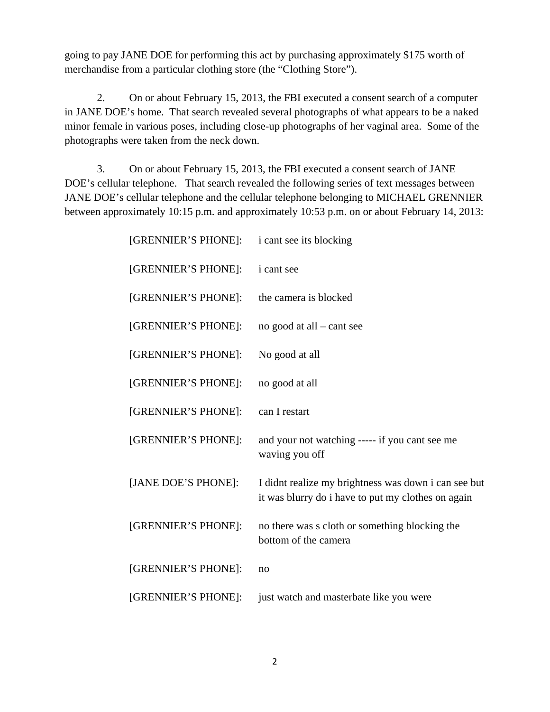going to pay JANE DOE for performing this act by purchasing approximately \$175 worth of merchandise from a particular clothing store (the "Clothing Store").

2. On or about February 15, 2013, the FBI executed a consent search of a computer in JANE DOE's home. That search revealed several photographs of what appears to be a naked minor female in various poses, including close-up photographs of her vaginal area. Some of the photographs were taken from the neck down.

3. On or about February 15, 2013, the FBI executed a consent search of JANE DOE's cellular telephone. That search revealed the following series of text messages between JANE DOE's cellular telephone and the cellular telephone belonging to MICHAEL GRENNIER between approximately 10:15 p.m. and approximately 10:53 p.m. on or about February 14, 2013:

| [GRENNIER'S PHONE]: | i cant see its blocking                                                                                    |
|---------------------|------------------------------------------------------------------------------------------------------------|
| [GRENNIER'S PHONE]: | <i>i</i> cant see                                                                                          |
| [GRENNIER'S PHONE]: | the camera is blocked                                                                                      |
| [GRENNIER'S PHONE]: | no good at all – cant see                                                                                  |
| [GRENNIER'S PHONE]: | No good at all                                                                                             |
| [GRENNIER'S PHONE]: | no good at all                                                                                             |
| [GRENNIER'S PHONE]: | can I restart                                                                                              |
| [GRENNIER'S PHONE]: | and your not watching ----- if you cant see me<br>waving you off                                           |
| [JANE DOE'S PHONE]: | I didnt realize my brightness was down i can see but<br>it was blurry do i have to put my clothes on again |
| [GRENNIER'S PHONE]: | no there was s cloth or something blocking the<br>bottom of the camera                                     |
| [GRENNIER'S PHONE]: | no                                                                                                         |
| [GRENNIER'S PHONE]: | just watch and masterbate like you were                                                                    |